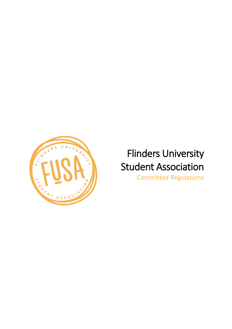

# Flinders University Student Association

Committee Regulations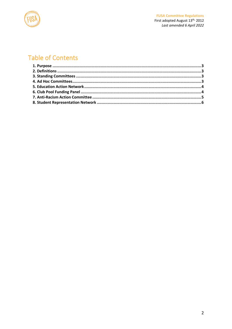

# **Table of Contents**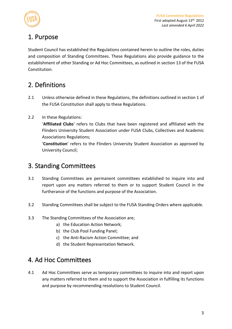

## <span id="page-2-0"></span>1. Purpose

Student Council has established the Regulations contained herein to outline the roles, duties and composition of Standing Committees. These Regulations also provide guidance to the establishment of other Standing or Ad Hoc Committees, as outlined in section 13 of the FUSA Constitution.

# <span id="page-2-1"></span>2. Definitions

- 2.1 Unless otherwise defined in these Regulations, the definitions outlined in section 1 of the FUSA Constitution shall apply to these Regulations.
- 2.2 In these Regulations:

'**Affiliated Clubs**' refers to Clubs that have been registered and affiliated with the Flinders University Student Association under FUSA Clubs, Collectives and Academic Associations Regulations;

'**Constitution**' refers to the Flinders University Student Association as approved by University Council;

# <span id="page-2-2"></span>3. Standing Committees

- 3.1 Standing Committees are permanent committees established to inquire into and report upon any matters referred to them or to support Student Council in the furtherance of the functions and purpose of the Association.
- 3.2 Standing Committees shall be subject to the FUSA Standing Orders where applicable.
- 3.3 The Standing Committees of the Association are;
	- a) the Education Action Network;
	- b) the Club Pool Funding Panel;
	- c) the Anti-Racism Action Committee; and
	- d) the Student Representation Network.

# <span id="page-2-3"></span>4. Ad Hoc Committees

4.1 Ad Hoc Committees serve as temporary committees to inquire into and report upon any matters referred to them and to support the Association in fulfilling its functions and purpose by recommending resolutions to Student Council.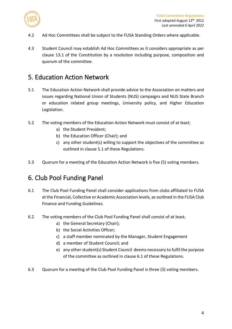

- 4.2 Ad Hoc Committees shall be subject to the FUSA Standing Orders where applicable.
- 4.3 Student Council may establish Ad Hoc Committees as it considers appropriate as per clause 13.1 of the Constitution by a resolution including purpose, composition and quorum of the committee.

## <span id="page-3-0"></span>5. Education Action Network

- 5.1 The Education Action Network shall provide advice to the Association on matters and issues regarding National Union of Students (NUS) campaigns and NUS State Branch or education related group meetings, University policy, and Higher Education Legislation.
- 5.2 The voting members of the Education Action Network must consist of at least;
	- a) the Student President;
	- b) the Education Officer (Chair); and
	- c) any other student(s) willing to support the objectives of the committee as outlined in clause 5.1 of these Regulations.
- 5.3 Quorum for a meeting of the Education Action Network is five (5) voting members.

#### <span id="page-3-1"></span>6. Club Pool Funding Panel

- 6.1 The Club Pool Funding Panel shall consider applications from clubs affiliated to FUSA at the Financial, Collective or Academic Association levels, as outlined in the FUSA Club Finance and Funding Guidelines.
- 6.2 The voting members of the Club Pool Funding Panel shall consist of at least;
	- a) the General Secretary (Chair);
	- b) the Social Activities Officer;
	- c) a staff member nominated by the Manager, Student Engagement
	- d) a member of Student Council; and
	- e) any other student(s) Student Council deems necessary to fulfil the purpose of the committee as outlined in clause 6.1 of these Regulations.
- 6.3 Quorum for a meeting of the Club Pool Funding Panel is three (3) voting members.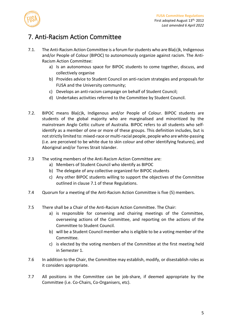

#### <span id="page-4-0"></span>7. Anti-Racism Action Committee

- 7.1. The Anti-Racism Action Committee is a forum forstudents who are Bla(c)k, Indigenous and/or People of Colour (BIPOC) to autonomously organize against racism. The Anti-Racism Action Committee:
	- a) Is an autonomous space for BIPOC students to come together, discuss, and collectively organise
	- b) Provides advice to Student Council on anti-racism strategies and proposals for FUSA and the University community;
	- c) Develops an anti-racism campaign on behalf of Student Council;
	- d) Undertakes activities referred to the Committee by Student Council.
- 7.2. BIPOC means Bla(c)k, Indigenous and/or People of Colour. BIPOC students are students of the global majority who are marginalised and minoritized by the mainstream Anglo Celtic culture of Australia. BIPOC refers to all students who selfidentify as a member of one or more of these groups. This definition includes, but is not strictly limited to: mixed-race or multi-racial people, people who are white-passing (i.e. are perceived to be white due to skin colour and other identifying features), and Aboriginal and/or Torres Strait Islander.
- 7.3 The voting members of the Anti-Racism Action Committee are:
	- a) Members of Student Council who identify as BIPOC
	- b) The delegate of any collective organized for BIPOC students
	- c) Any other BIPOC students willing to support the objectives of the Committee outlined in clause 7.1 of these Regulations.
- 7.4 Quorum for a meeting of the Anti-Racism Action Committee is five (5) members.
- 7.5 There shall be a Chair of the Anti-Racism Action Committee. The Chair:
	- a) is responsible for convening and chairing meetings of the Committee, overseeing actions of the Committee, and reporting on the actions of the Committee to Student Council.
	- b) will be a Student Council member who is eligible to be a voting member of the Committee.
	- c) is elected by the voting members of the Committee at the first meeting held in Semester 1.
- 7.6 In addition to the Chair, the Committee may establish, modify, or disestablish roles as it considers appropriate.
- 7.7 All positions in the Committee can be job-share, if deemed appropriate by the Committee (i.e. Co-Chairs, Co-Organisers, etc).